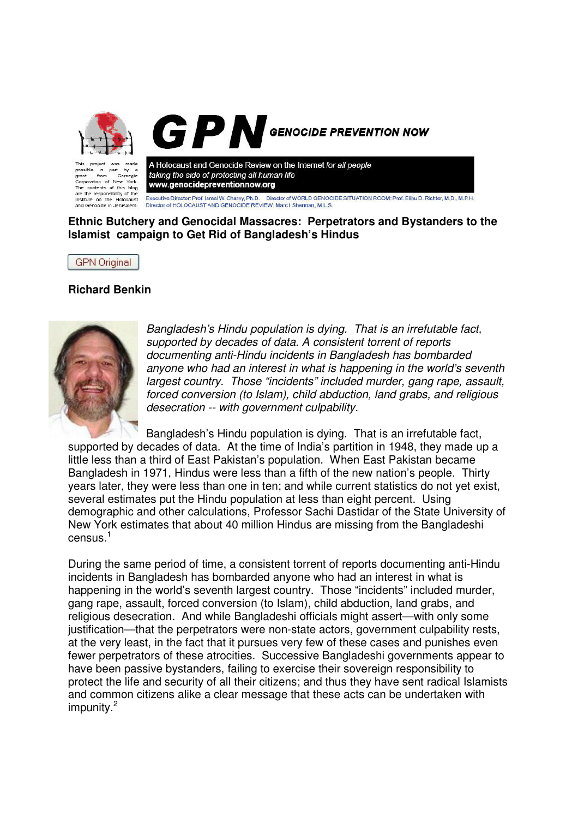

A Holocaust and Genocide Review on the Internet for all people by taking the side of protecting all human life from Carnegie Cornoration of New York www.genocidepreventionnow.org rporation of New York.<br>• contents of this blog<br>• the responsibility of the Executive Director: Prof. Israel W. Charny, Ph.D. Director of WORLD GENOCIDE SITUATION ROOM: Prof. Elihu D. Richter, M.D., M.P.H.<br>Director of HOLOCAUST AND GENOCIDE REVIEW: Marc I Sherman, M.L.S. Institute on the Holocaust

**Ethnic Butchery and Genocidal Massacres: Perpetrators and Bystanders to the Islamist campaign to Get Rid of Bangladesh's Hindus**

**GPN** Original

and Genocide in Jerusalem.

grant

## **Richard Benkin**



Bangladesh's Hindu population is dying. That is an irrefutable fact, supported by decades of data. A consistent torrent of reports documenting anti-Hindu incidents in Bangladesh has bombarded anyone who had an interest in what is happening in the world's seventh largest country. Those "incidents" included murder, gang rape, assault, forced conversion (to Islam), child abduction, land grabs, and religious desecration -- with government culpability.

Bangladesh's Hindu population is dying. That is an irrefutable fact, supported by decades of data. At the time of India's partition in 1948, they made up a little less than a third of East Pakistan's population. When East Pakistan became Bangladesh in 1971, Hindus were less than a fifth of the new nation's people. Thirty years later, they were less than one in ten; and while current statistics do not yet exist, several estimates put the Hindu population at less than eight percent. Using demographic and other calculations, Professor Sachi Dastidar of the State University of New York estimates that about 40 million Hindus are missing from the Bangladeshi census. $^{\rm 1}$ 

During the same period of time, a consistent torrent of reports documenting anti-Hindu incidents in Bangladesh has bombarded anyone who had an interest in what is happening in the world's seventh largest country. Those "incidents" included murder, gang rape, assault, forced conversion (to Islam), child abduction, land grabs, and religious desecration. And while Bangladeshi officials might assert—with only some iustification—that the perpetrators were non-state actors, government culpability rests, at the very least, in the fact that it pursues very few of these cases and punishes even fewer perpetrators of these atrocities. Successive Bangladeshi governments appear to have been passive bystanders, failing to exercise their sovereign responsibility to protect the life and security of all their citizens; and thus they have sent radical Islamists and common citizens alike a clear message that these acts can be undertaken with impunity.<sup>2</sup>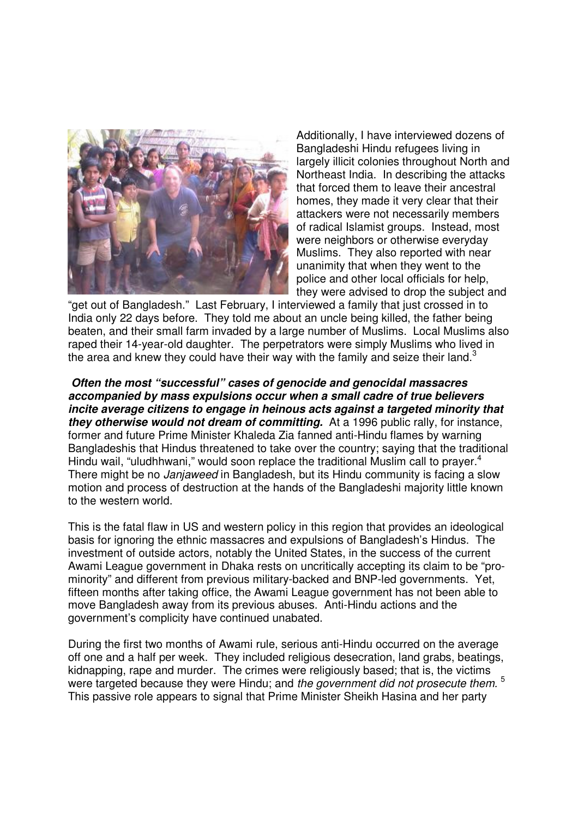

Additionally, I have interviewed dozens of Bangladeshi Hindu refugees living in largely illicit colonies throughout North and Northeast India. In describing the attacks that forced them to leave their ancestral homes, they made it very clear that their attackers were not necessarily members of radical Islamist groups. Instead, most were neighbors or otherwise everyday Muslims. They also reported with near unanimity that when they went to the police and other local officials for help, they were advised to drop the subject and

"get out of Bangladesh." Last February, I interviewed a family that just crossed in to India only 22 days before. They told me about an uncle being killed, the father being beaten, and their small farm invaded by a large number of Muslims. Local Muslims also raped their 14-year-old daughter. The perpetrators were simply Muslims who lived in the area and knew they could have their way with the family and seize their land.<sup>3</sup>

**Often the most "successful" cases of genocide and genocidal massacres accompanied by mass expulsions occur when a small cadre of true believers incite average citizens to engage in heinous acts against a targeted minority that they otherwise would not dream of committing.** At a 1996 public rally, for instance, former and future Prime Minister Khaleda Zia fanned anti-Hindu flames by warning Bangladeshis that Hindus threatened to take over the country; saying that the traditional Hindu wail, "uludhhwani," would soon replace the traditional Muslim call to prayer.<sup>4</sup> There might be no Janjaweed in Bangladesh, but its Hindu community is facing a slow motion and process of destruction at the hands of the Bangladeshi majority little known to the western world.

This is the fatal flaw in US and western policy in this region that provides an ideological basis for ignoring the ethnic massacres and expulsions of Bangladesh's Hindus. The investment of outside actors, notably the United States, in the success of the current Awami League government in Dhaka rests on uncritically accepting its claim to be "prominority" and different from previous military-backed and BNP-led governments. Yet, fifteen months after taking office, the Awami League government has not been able to move Bangladesh away from its previous abuses. Anti-Hindu actions and the government's complicity have continued unabated.

During the first two months of Awami rule, serious anti-Hindu occurred on the average off one and a half per week. They included religious desecration, land grabs, beatings, kidnapping, rape and murder. The crimes were religiously based; that is, the victims were targeted because they were Hindu; and the government did not prosecute them.  $5$ This passive role appears to signal that Prime Minister Sheikh Hasina and her party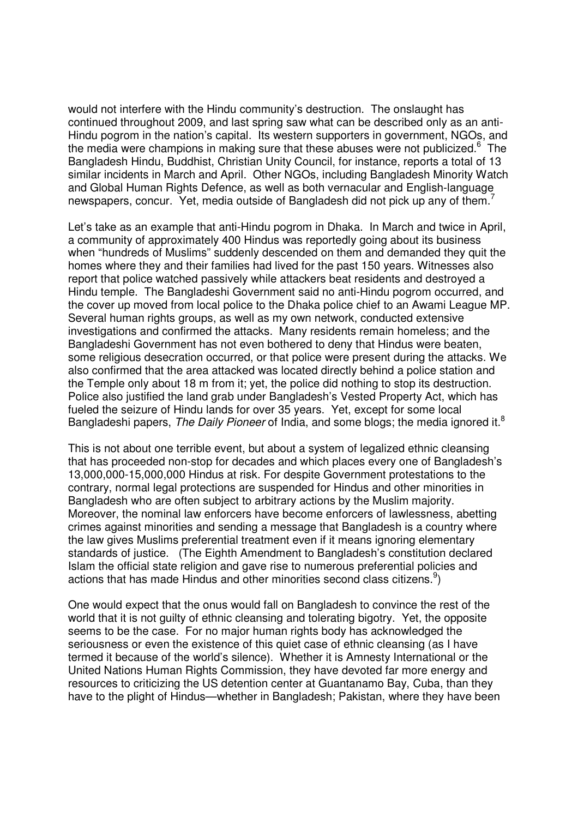would not interfere with the Hindu community's destruction. The onslaught has continued throughout 2009, and last spring saw what can be described only as an anti-Hindu pogrom in the nation's capital. Its western supporters in government, NGOs, and the media were champions in making sure that these abuses were not publicized.<sup>6</sup> The Bangladesh Hindu, Buddhist, Christian Unity Council, for instance, reports a total of 13 similar incidents in March and April. Other NGOs, including Bangladesh Minority Watch and Global Human Rights Defence, as well as both vernacular and English-language newspapers, concur. Yet, media outside of Bangladesh did not pick up any of them.<sup>7</sup>

Let's take as an example that anti-Hindu pogrom in Dhaka. In March and twice in April, a community of approximately 400 Hindus was reportedly going about its business when "hundreds of Muslims" suddenly descended on them and demanded they quit the homes where they and their families had lived for the past 150 years. Witnesses also report that police watched passively while attackers beat residents and destroyed a Hindu temple. The Bangladeshi Government said no anti-Hindu pogrom occurred, and the cover up moved from local police to the Dhaka police chief to an Awami League MP. Several human rights groups, as well as my own network, conducted extensive investigations and confirmed the attacks. Many residents remain homeless; and the Bangladeshi Government has not even bothered to deny that Hindus were beaten, some religious desecration occurred, or that police were present during the attacks. We also confirmed that the area attacked was located directly behind a police station and the Temple only about 18 m from it; yet, the police did nothing to stop its destruction. Police also justified the land grab under Bangladesh's Vested Property Act, which has fueled the seizure of Hindu lands for over 35 years. Yet, except for some local Bangladeshi papers, The Daily Pioneer of India, and some blogs; the media ignored it.<sup>8</sup>

This is not about one terrible event, but about a system of legalized ethnic cleansing that has proceeded non-stop for decades and which places every one of Bangladesh's 13,000,000-15,000,000 Hindus at risk. For despite Government protestations to the contrary, normal legal protections are suspended for Hindus and other minorities in Bangladesh who are often subject to arbitrary actions by the Muslim majority. Moreover, the nominal law enforcers have become enforcers of lawlessness, abetting crimes against minorities and sending a message that Bangladesh is a country where the law gives Muslims preferential treatment even if it means ignoring elementary standards of justice. (The Eighth Amendment to Bangladesh's constitution declared Islam the official state religion and gave rise to numerous preferential policies and actions that has made Hindus and other minorities second class citizens. $9$ 

One would expect that the onus would fall on Bangladesh to convince the rest of the world that it is not guilty of ethnic cleansing and tolerating bigotry. Yet, the opposite seems to be the case. For no major human rights body has acknowledged the seriousness or even the existence of this quiet case of ethnic cleansing (as I have termed it because of the world's silence). Whether it is Amnesty International or the United Nations Human Rights Commission, they have devoted far more energy and resources to criticizing the US detention center at Guantanamo Bay, Cuba, than they have to the plight of Hindus—whether in Bangladesh; Pakistan, where they have been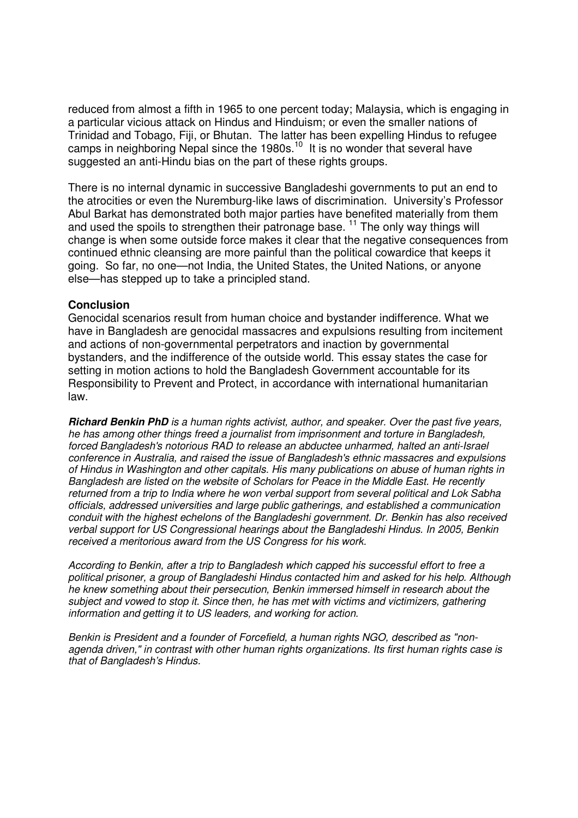reduced from almost a fifth in 1965 to one percent today; Malaysia, which is engaging in a particular vicious attack on Hindus and Hinduism; or even the smaller nations of Trinidad and Tobago, Fiji, or Bhutan. The latter has been expelling Hindus to refugee camps in neighboring Nepal since the 1980s.<sup>10</sup> It is no wonder that several have suggested an anti-Hindu bias on the part of these rights groups.

There is no internal dynamic in successive Bangladeshi governments to put an end to the atrocities or even the Nuremburg-like laws of discrimination. University's Professor Abul Barkat has demonstrated both major parties have benefited materially from them and used the spoils to strengthen their patronage base.<sup>11</sup> The only way things will change is when some outside force makes it clear that the negative consequences from continued ethnic cleansing are more painful than the political cowardice that keeps it going. So far, no one—not India, the United States, the United Nations, or anyone else—has stepped up to take a principled stand.

## **Conclusion**

Genocidal scenarios result from human choice and bystander indifference. What we have in Bangladesh are genocidal massacres and expulsions resulting from incitement and actions of non-governmental perpetrators and inaction by governmental bystanders, and the indifference of the outside world. This essay states the case for setting in motion actions to hold the Bangladesh Government accountable for its Responsibility to Prevent and Protect, in accordance with international humanitarian law.

**Richard Benkin PhD** is a human rights activist, author, and speaker. Over the past five years, he has among other things freed a journalist from imprisonment and torture in Bangladesh, forced Bangladesh's notorious RAD to release an abductee unharmed, halted an anti-Israel conference in Australia, and raised the issue of Bangladesh's ethnic massacres and expulsions of Hindus in Washington and other capitals. His many publications on abuse of human rights in Bangladesh are listed on the website of Scholars for Peace in the Middle East. He recently returned from a trip to India where he won verbal support from several political and Lok Sabha officials, addressed universities and large public gatherings, and established a communication conduit with the highest echelons of the Bangladeshi government. Dr. Benkin has also received verbal support for US Congressional hearings about the Bangladeshi Hindus. In 2005, Benkin received a meritorious award from the US Congress for his work.

According to Benkin, after a trip to Bangladesh which capped his successful effort to free a political prisoner, a group of Bangladeshi Hindus contacted him and asked for his help. Although he knew something about their persecution, Benkin immersed himself in research about the subject and vowed to stop it. Since then, he has met with victims and victimizers, gathering information and getting it to US leaders, and working for action.

Benkin is President and a founder of Forcefield, a human rights NGO, described as "nonagenda driven," in contrast with other human rights organizations. Its first human rights case is that of Bangladesh's Hindus.